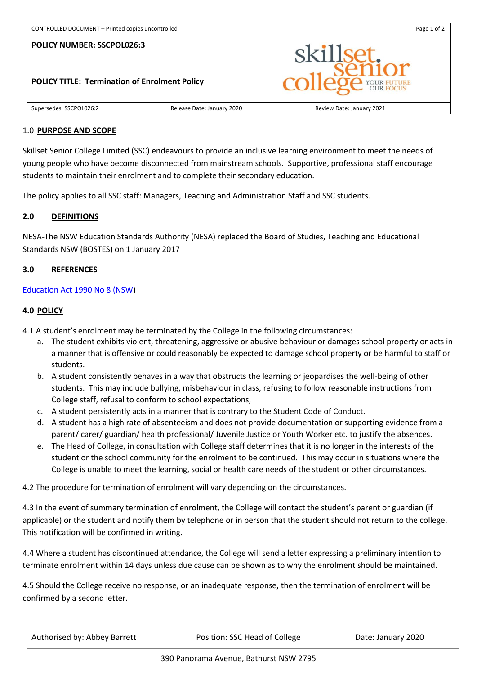#### **POLICY NUMBER: SSCPOL026:3**



# 1.0 **PURPOSE AND SCOPE**

Skillset Senior College Limited (SSC) endeavours to provide an inclusive learning environment to meet the needs of young people who have become disconnected from mainstream schools. Supportive, professional staff encourage students to maintain their enrolment and to complete their secondary education.

The policy applies to all SSC staff: Managers, Teaching and Administration Staff and SSC students.

## **2.0 DEFINITIONS**

[NESA-](http://www.boardofstudies.nsw.edu.au/)The NSW Education Standards Authority (NESA) replaced the Board of Studies, Teaching and Educational Standards NSW (BOSTES) on 1 January 2017

## **3.0 REFERENCES**

## [Education Act 1990 No 8 \(NSW\)](http://www.legislation.nsw.gov.au/)

#### **4.0 POLICY**

- 4.1 A student's enrolment may be terminated by the College in the following circumstances:
	- a. The student exhibits violent, threatening, aggressive or abusive behaviour or damages school property or acts in a manner that is offensive or could reasonably be expected to damage school property or be harmful to staff or students.
	- b. A student consistently behaves in a way that obstructs the learning or jeopardises the well-being of other students. This may include bullying, misbehaviour in class, refusing to follow reasonable instructions from College staff, refusal to conform to school expectations,
	- c. A student persistently acts in a manner that is contrary to the Student Code of Conduct.
	- d. A student has a high rate of absenteeism and does not provide documentation or supporting evidence from a parent/ carer/ guardian/ health professional/ Juvenile Justice or Youth Worker etc. to justify the absences.
	- e. The Head of College, in consultation with College staff determines that it is no longer in the interests of the student or the school community for the enrolment to be continued. This may occur in situations where the College is unable to meet the learning, social or health care needs of the student or other circumstances.

4.2 The procedure for termination of enrolment will vary depending on the circumstances.

4.3 In the event of summary termination of enrolment, the College will contact the student's parent or guardian (if applicable) or the student and notify them by telephone or in person that the student should not return to the college. This notification will be confirmed in writing.

4.4 Where a student has discontinued attendance, the College will send a letter expressing a preliminary intention to terminate enrolment within 14 days unless due cause can be shown as to why the enrolment should be maintained.

4.5 Should the College receive no response, or an inadequate response, then the termination of enrolment will be confirmed by a second letter.

| Authorised by: Abbey Barrett | Position: SSC Head of College | Date: January 2020 |
|------------------------------|-------------------------------|--------------------|
|------------------------------|-------------------------------|--------------------|